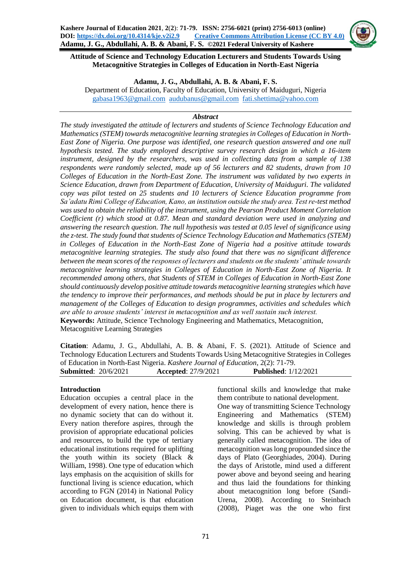

**Attitude of Science and Technology Education Lecturers and Students Towards Using Metacognitive Strategies in Colleges of Education in North-East Nigeria**

#### **Adamu, J. G., Abdullahi, A. B. & Abani, F. S.**

Department of Education, Faculty of Education, University of Maiduguri, Nigeria [gabasa1963@gmail.com](mailto:gabasa1963@gmail.com) [audubanus@gmail.com](mailto:audubanus@gmail.com) [fati.shettima@yahoo.com](mailto:fati.shettima@yahoo.com)

#### *Abstract*

*The study investigated the attitude of lecturers and students of Science Technology Education and Mathematics (STEM) towards metacognitive learning strategies in Colleges of Education in North-East Zone of Nigeria. One purpose was identified, one research question answered and one null hypothesis tested. The study employed descriptive survey research design in which a 16-item instrument, designed by the researchers, was used in collecting data from a sample of 138 respondents were randomly selected, made up of 56 lecturers and 82 students, drawn from 10 Colleges of Education in the North-East Zone. The instrument was validated by two experts in Science Education, drawn from Department of Education, University of Maiduguri. The validated copy was pilot tested on 25 students and 10 lecturers of Science Education programme from Sa'adatu Rimi College of Education, Kano, an institution outside the study area. Test re-test method was used to obtain the reliability of the instrument, using the Pearson Product Moment Correlation Coefficient (r) which stood at 0.87. Mean and standard deviation were used in analyzing and answering the research question. The null hypothesis was tested at 0.05 level of significance using the z-test. The study found that students of Science Technology Education and Mathematics (STEM) in Colleges of Education in the North-East Zone of Nigeria had a positive attitude towards metacognitive learning strategies. The study also found that there was no significant difference between the mean scores of the responses of lecturers and students on the students' attitude towards metacognitive learning strategies in Colleges of Education in North-East Zone of Nigeria. It recommended among others, that Students of STEM in Colleges of Education in North-East Zone should continuously develop positive attitude towards metacognitive learning strategies which have the tendency to improve their performances, and methods should be put in place by lecturers and management of the Colleges of Education to design programmes, activities and schedules which are able to arouse students' interest in metacognition and as well sustain such interest.*  **Keywords:** Attitude, Science Technology Engineering and Mathematics, Metacognition,

Metacognitive Learning Strategies

**Citation**: Adamu, J. G., Abdullahi, A. B. & Abani, F. S. (2021). Attitude of Science and Technology Education Lecturers and Students Towards Using Metacognitive Strategies in Colleges of Education in North-East Nigeria. *Kashere Journal of Education*, 2(2): 71-79. **Submitted**: 20/6/2021 **Accepted**: 27/9/2021 **Published**: 1/12/2021

#### **Introduction**

Education occupies a central place in the development of every nation, hence there is no dynamic society that can do without it. Every nation therefore aspires, through the provision of appropriate educational policies and resources, to build the type of tertiary educational institutions required for uplifting the youth within its society (Black & William, 1998). One type of education which lays emphasis on the acquisition of skills for functional living is science education, which according to FGN (2014) in National Policy on Education document, is that education given to individuals which equips them with functional skills and knowledge that make them contribute to national development. One way of transmitting Science Technology Engineering and Mathematics (STEM) knowledge and skills is through problem solving. This can be achieved by what is generally called metacognition. The idea of metacognition was long propounded since the days of Plato (Georghiades, 2004). During the days of Aristotle, mind used a different power above and beyond seeing and hearing and thus laid the foundations for thinking about metacognition long before (Sandi-Urena, 2008). According to Steinbach (2008), Piaget was the one who first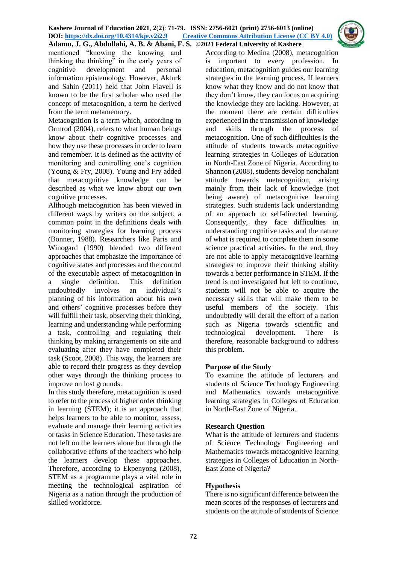mentioned "knowing the knowing and thinking the thinking" in the early years of cognitive development and personal information epistemology. However, Akturk and Sahin (2011) held that John Flavell is known to be the first scholar who used the concept of metacognition, a term he derived from the term metamemory.

Metacognition is a term which, according to Ormrod (2004), refers to what human beings know about their cognitive processes and how they use these processes in order to learn and remember. It is defined as the activity of monitoring and controlling one's cognition (Young & Fry, 2008). Young and Fry added that metacognitive knowledge can be described as what we know about our own cognitive processes.

Although metacognition has been viewed in different ways by writers on the subject, a common point in the definitions deals with monitoring strategies for learning process (Bonner, 1988). Researchers like Paris and Winogard (1990) blended two different approaches that emphasize the importance of cognitive states and processes and the control of the executable aspect of metacognition in a single definition. This definition undoubtedly involves an individual's planning of his information about his own and others' cognitive processes before they will fulfill their task, observing their thinking, learning and understanding while performing a task, controlling and regulating their thinking by making arrangements on site and evaluating after they have completed their task (Scoot, 2008). This way, the learners are able to record their progress as they develop other ways through the thinking process to improve on lost grounds.

In this study therefore, metacognition is used to refer to the process of higher order thinking in learning (STEM); it is an approach that helps learners to be able to monitor, assess, evaluate and manage their learning activities or tasks in Science Education. These tasks are not left on the learners alone but through the collaborative efforts of the teachers who help the learners develop these approaches. Therefore, according to Ekpenyong (2008), STEM as a programme plays a vital role in meeting the technological aspiration of Nigeria as a nation through the production of skilled workforce.

According to Medina (2008), metacognition is important to every profession. In education, metacognition guides our learning strategies in the learning process. If learners know what they know and do not know that they don't know, they can focus on acquiring the knowledge they are lacking. However, at the moment there are certain difficulties experienced in the transmission of knowledge and skills through the process of metacognition. One of such difficulties is the attitude of students towards metacognitive learning strategies in Colleges of Education in North-East Zone of Nigeria. According to Shannon (2008), students develop nonchalant attitude towards metacognition, arising mainly from their lack of knowledge (not being aware) of metacognitive learning strategies. Such students lack understanding of an approach to self-directed learning. Consequently, they face difficulties in understanding cognitive tasks and the nature of what is required to complete them in some science practical activities. In the end, they are not able to apply metacognitive learning strategies to improve their thinking ability towards a better performance in STEM. If the trend is not investigated but left to continue, students will not be able to acquire the necessary skills that will make them to be useful members of the society. This undoubtedly will derail the effort of a nation such as Nigeria towards scientific and technological development. There is therefore, reasonable background to address this problem.

### **Purpose of the Study**

To examine the attitude of lecturers and students of Science Technology Engineering and Mathematics towards metacognitive learning strategies in Colleges of Education in North-East Zone of Nigeria.

### **Research Question**

What is the attitude of lecturers and students of Science Technology Engineering and Mathematics towards metacognitive learning strategies in Colleges of Education in North-East Zone of Nigeria?

### **Hypothesis**

There is no significant difference between the mean scores of the responses of lecturers and students on the attitude of students of Science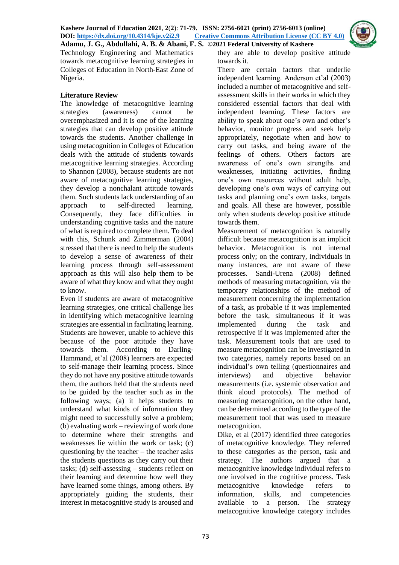

Technology Engineering and Mathematics towards metacognitive learning strategies in Colleges of Education in North-East Zone of Nigeria.

# **Literature Review**

The knowledge of metacognitive learning strategies (awareness) cannot be overemphasized and it is one of the learning strategies that can develop positive attitude towards the students. Another challenge in using metacognition in Colleges of Education deals with the attitude of students towards metacognitive learning strategies. According to Shannon (2008), because students are not aware of metacognitive learning strategies, they develop a nonchalant attitude towards them. Such students lack understanding of an approach to self-directed learning. Consequently, they face difficulties in understanding cognitive tasks and the nature of what is required to complete them. To deal with this, Schunk and Zimmerman (2004) stressed that there is need to help the students to develop a sense of awareness of their learning process through self-assessment approach as this will also help them to be aware of what they know and what they ought to know.

Even if students are aware of metacognitive learning strategies, one critical challenge lies in identifying which metacognitive learning strategies are essential in facilitating learning. Students are however, unable to achieve this because of the poor attitude they have towards them. According to Darling-Hammand, et'al (2008) learners are expected to self-manage their learning process. Since they do not have any positive attitude towards them, the authors held that the students need to be guided by the teacher such as in the following ways; (a) it helps students to understand what kinds of information they might need to successfully solve a problem; (b) evaluating work – reviewing of work done to determine where their strengths and weaknesses lie within the work or task; (c) questioning by the teacher – the teacher asks the students questions as they carry out their tasks; (d) self-assessing – students reflect on their learning and determine how well they have learned some things, among others. By appropriately guiding the students, their interest in metacognitive study is aroused and they are able to develop positive attitude towards it.

There are certain factors that underlie independent learning. Anderson et'al (2003) included a number of metacognitive and selfassessment skills in their works in which they considered essential factors that deal with independent learning. These factors are ability to speak about one's own and other's behavior, monitor progress and seek help appropriately, negotiate when and how to carry out tasks, and being aware of the feelings of others. Others factors are awareness of one's own strengths and weaknesses, initiating activities, finding one's own resources without adult help, developing one's own ways of carrying out tasks and planning one's own tasks, targets and goals. All these are however, possible only when students develop positive attitude towards them.

Measurement of metacognition is naturally difficult because metacognition is an implicit behavior. Metacognition is not internal process only; on the contrary, individuals in many instances, are not aware of these processes. Sandi-Urena (2008) defined methods of measuring metacognition, via the temporary relationships of the method of measurement concerning the implementation of a task, as probable if it was implemented before the task, simultaneous if it was implemented during the task and retrospective if it was implemented after the task. Measurement tools that are used to measure metacognition can be investigated in two categories, namely reports based on an individual's own telling (questionnaires and interviews) and objective behavior measurements (i.e. systemic observation and think aloud protocols). The method of measuring metacognition, on the other hand, can be determined according to the type of the measurement tool that was used to measure metacognition.

Dike, et al (2017) identified three categories of metacognitive knowledge. They referred to these categories as the person, task and strategy. The authors argued that a metacognitive knowledge individual refers to one involved in the cognitive process. Task metacognitive knowledge refers to information, skills, and competencies available to a person. The strategy metacognitive knowledge category includes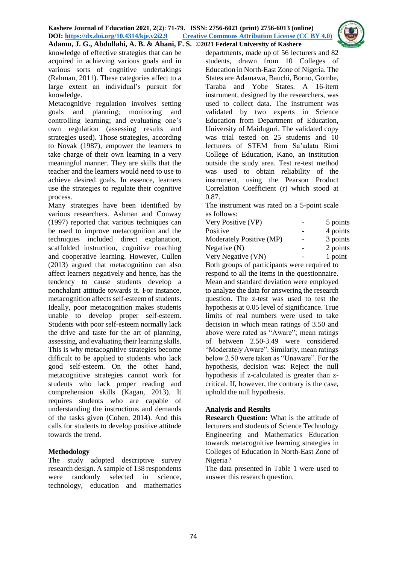

knowledge of effective strategies that can be acquired in achieving various goals and in various sorts of cognitive undertakings (Rahman, 2011). These categories affect to a large extent an individual's pursuit for knowledge.

Metacognitive regulation involves setting goals and planning; monitoring and controlling learning; and evaluating one's own regulation (assessing results and strategies used). Those strategies, according to Novak (1987), empower the learners to take charge of their own learning in a very meaningful manner. They are skills that the teacher and the learners would need to use to achieve desired goals. In essence, learners use the strategies to regulate their cognitive process.

Many strategies have been identified by various researchers. Ashman and Conway (1997) reported that various techniques can be used to improve metacognition and the techniques included direct explanation, scaffolded instruction, cognitive coaching and cooperative learning. However, Cullen (2013) argued that metacognition can also affect learners negatively and hence, has the tendency to cause students develop a nonchalant attitude towards it. For instance, metacognition affects self-esteem of students. Ideally, poor metacognition makes students unable to develop proper self-esteem. Students with poor self-esteem normally lack the drive and taste for the art of planning, assessing, and evaluating their learning skills. This is why metacognitive strategies become difficult to be applied to students who lack good self-esteem. On the other hand, metacognitive strategies cannot work for students who lack proper reading and comprehension skills (Kagan, 2013). It requires students who are capable of understanding the instructions and demands of the tasks given (Cohen, 2014). And this calls for students to develop positive attitude towards the trend.

### **Methodology**

The study adopted descriptive survey research design. A sample of 138 respondents were randomly selected in science, technology, education and mathematics

departments, made up of 56 lecturers and 82 students, drawn from 10 Colleges of Education in North-East Zone of Nigeria. The States are Adamawa, Bauchi, Borno, Gombe, Taraba and Yobe States. A 16-item instrument, designed by the researchers, was used to collect data. The instrument was validated by two experts in Science Education from Department of Education, University of Maiduguri. The validated copy was trial tested on 25 students and 10 lecturers of STEM from Sa'adatu Rimi College of Education, Kano, an institution outside the study area. Test re-test method was used to obtain reliability of the instrument, using the Pearson Product Correlation Coefficient (r) which stood at 0.87.

The instrument was rated on a 5-point scale as follows:

| Very Positive (VP)       | 5 points |
|--------------------------|----------|
| Positive                 | 4 points |
| Moderately Positive (MP) | 3 points |
| Negative (N)             | 2 points |
| Very Negative (VN)       | 1 point  |

Both groups of participants were required to respond to all the items in the questionnaire. Mean and standard deviation were employed to analyze the data for answering the research question. The z-test was used to test the hypothesis at 0.05 level of significance. True limits of real numbers were used to take decision in which mean ratings of 3.50 and above were rated as "Aware"; mean ratings of between 2.50-3.49 were considered "Moderately Aware". Similarly, mean ratings below 2.50 were taken as "Unaware". For the hypothesis, decision was: Reject the null hypothesis if z-calculated is greater than zcritical. If, however, the contrary is the case, uphold the null hypothesis.

### **Analysis and Results**

**Research Question:** What is the attitude of lecturers and students of Science Technology Engineering and Mathematics Education towards metacognitive learning strategies in Colleges of Education in North-East Zone of Nigeria?

The data presented in Table 1 were used to answer this research question.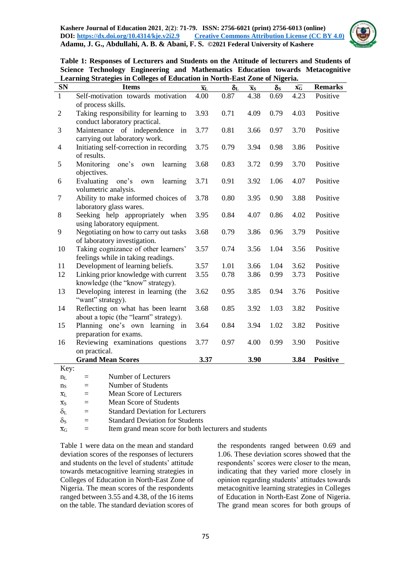

|                                                                             |  |  |  |  |  |  | Table 1: Responses of Lecturers and Students on the Attitude of lecturers and Students of |
|-----------------------------------------------------------------------------|--|--|--|--|--|--|-------------------------------------------------------------------------------------------|
|                                                                             |  |  |  |  |  |  | Science Technology Engineering and Mathematics Education towards Metacognitive            |
| Learning Strategies in Colleges of Education in North-East Zone of Nigeria. |  |  |  |  |  |  |                                                                                           |

| <b>SN</b>      | <b>Items</b>                                                   | $\overline{\mathbf{X}}_L$ | $\delta_{\rm L}$ | $\overline{\mathbf{x}}_{S}$ | $\delta_{\rm S}$ | $\bar{\mathbf{X}}$ G | <b>Remarks</b>  |
|----------------|----------------------------------------------------------------|---------------------------|------------------|-----------------------------|------------------|----------------------|-----------------|
| $\mathbf{1}$   | Self-motivation towards motivation                             | 4.00                      | 0.87             | 4.38                        | 0.69             | 4.23                 | Positive        |
|                | of process skills.                                             |                           |                  |                             |                  |                      |                 |
| $\sqrt{2}$     | Taking responsibility for learning to                          | 3.93                      | 0.71             | 4.09                        | 0.79             | 4.03                 | Positive        |
|                | conduct laboratory practical.                                  |                           |                  |                             |                  |                      |                 |
| 3              | Maintenance of independence in                                 | 3.77                      | 0.81             | 3.66                        | 0.97             | 3.70                 | Positive        |
|                | carrying out laboratory work.                                  |                           |                  |                             |                  |                      |                 |
| $\overline{4}$ | Initiating self-correction in recording                        | 3.75                      | 0.79             | 3.94                        | 0.98             | 3.86                 | Positive        |
|                | of results.                                                    |                           |                  |                             |                  |                      |                 |
| 5              | Monitoring<br>learning<br>one's<br>own                         | 3.68                      | 0.83             | 3.72                        | 0.99             | 3.70                 | Positive        |
|                | objectives.                                                    |                           |                  |                             |                  |                      |                 |
| 6              | Evaluating<br>one's<br>learning<br>own                         | 3.71                      | 0.91             | 3.92                        | 1.06             | 4.07                 | Positive        |
|                | volumetric analysis.                                           |                           |                  |                             |                  |                      |                 |
| $\tau$         | Ability to make informed choices of                            | 3.78                      | 0.80             | 3.95                        | 0.90             | 3.88                 | Positive        |
|                | laboratory glass wares.                                        |                           |                  |                             |                  |                      |                 |
| 8              | Seeking help appropriately when<br>using laboratory equipment. | 3.95                      | 0.84             | 4.07                        | 0.86             | 4.02                 | Positive        |
| 9              | Negotiating on how to carry out tasks                          | 3.68                      | 0.79             | 3.86                        | 0.96             | 3.79                 | Positive        |
|                | of laboratory investigation.                                   |                           |                  |                             |                  |                      |                 |
| 10             | Taking cognizance of other learners'                           | 3.57                      | 0.74             | 3.56                        | 1.04             | 3.56                 | Positive        |
|                | feelings while in taking readings.                             |                           |                  |                             |                  |                      |                 |
| 11             | Development of learning beliefs.                               | 3.57                      | 1.01             | 3.66                        | 1.04             | 3.62                 | Positive        |
| 12             | Linking prior knowledge with current                           | 3.55                      | 0.78             | 3.86                        | 0.99             | 3.73                 | Positive        |
|                | knowledge (the "know" strategy).                               |                           |                  |                             |                  |                      |                 |
| 13             | Developing interest in learning (the                           | 3.62                      | 0.95             | 3.85                        | 0.94             | 3.76                 | Positive        |
|                | "want" strategy).                                              |                           |                  |                             |                  |                      |                 |
| 14             | Reflecting on what has been learnt                             | 3.68                      | 0.85             | 3.92                        | 1.03             | 3.82                 | Positive        |
|                | about a topic (the "learnt" strategy).                         |                           |                  |                             |                  |                      |                 |
| 15             | Planning one's own learning in                                 | 3.64                      | 0.84             | 3.94                        | 1.02             | 3.82                 | Positive        |
|                | preparation for exams.                                         |                           |                  |                             |                  |                      |                 |
| 16             | Reviewing examinations questions                               | 3.77                      | 0.97             | 4.00                        | 0.99             | 3.90                 | Positive        |
|                | on practical.                                                  |                           |                  |                             |                  |                      |                 |
|                | <b>Grand Mean Scores</b>                                       | 3.37                      |                  | 3.90                        |                  | 3.84                 | <b>Positive</b> |
| Key:           |                                                                |                           |                  |                             |                  |                      |                 |
| $n_{L}$        | Number of Lecturers<br>$\equiv$                                |                           |                  |                             |                  |                      |                 |

 $n<sub>S</sub>$  = Number of Students

 $\overline{x}_L$  = Mean Score of Lecturers

 $\bar{x}_s$  = Mean Score of Students

 $\delta_{L}$  = Standard Deviation for Lecturers

 $\delta_{\rm S}$  = Standard Deviation for Students

 $\bar{x}_G$  = Item grand mean score for both lecturers and students

Table 1 were data on the mean and standard deviation scores of the responses of lecturers and students on the level of students' attitude towards metacognitive learning strategies in Colleges of Education in North-East Zone of Nigeria. The mean scores of the respondents ranged between 3.55 and 4.38, of the 16 items on the table. The standard deviation scores of the respondents ranged between 0.69 and 1.06. These deviation scores showed that the respondents' scores were closer to the mean, indicating that they varied more closely in opinion regarding students' attitudes towards metacognitive learning strategies in Colleges of Education in North-East Zone of Nigeria. The grand mean scores for both groups of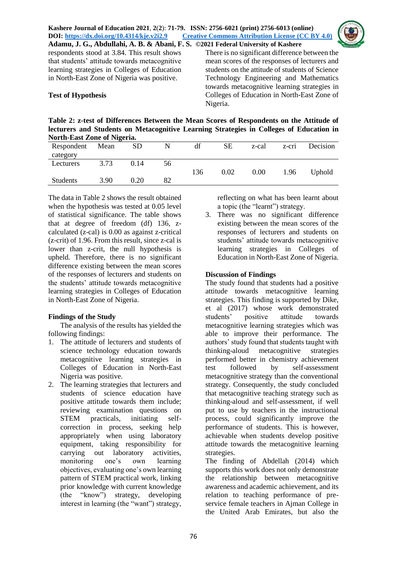

respondents stood at 3.84. This result shows that students' attitude towards metacognitive learning strategies in Colleges of Education in North-East Zone of Nigeria was positive.

# **Test of Hypothesis**

There is no significant difference between the mean scores of the responses of lecturers and students on the attitude of students of Science Technology Engineering and Mathematics towards metacognitive learning strategies in Colleges of Education in North-East Zone of Nigeria.

**Table 2: z-test of Differences Between the Mean Scores of Respondents on the Attitude of lecturers and Students on Metacognitive Learning Strategies in Colleges of Education in North-East Zone of Nigeria.** 

| TWE th-East Zone of Fugeria. |      |      |    |     |      |       |             |               |
|------------------------------|------|------|----|-----|------|-------|-------------|---------------|
| Respondent                   | Mean | SD   | N  | df  | SЕ   | z-cal | $Z$ -C $T1$ | Decision      |
| category                     |      |      |    |     |      |       |             |               |
| Lecturers                    | 3.73 | 0.14 | 56 |     |      |       |             |               |
|                              |      |      |    | 136 | 0.02 | 0.00  | 1.96        | <b>Uphold</b> |
| <b>Students</b>              | 3.90 | 0.20 | 82 |     |      |       |             |               |
|                              |      |      |    |     |      |       |             |               |

The data in Table 2 shows the result obtained when the hypothesis was tested at 0.05 level of statistical significance. The table shows that at degree of freedom (df) 136, zcalculated (z-cal) is 0.00 as against z-critical (z-crit) of 1.96. From this result, since z-cal is lower than z-crit, the null hypothesis is upheld. Therefore, there is no significant difference existing between the mean scores of the responses of lecturers and students on the students' attitude towards metacognitive learning strategies in Colleges of Education in North-East Zone of Nigeria.

# **Findings of the Study**

The analysis of the results has yielded the following findings:

- 1. The attitude of lecturers and students of science technology education towards metacognitive learning strategies in Colleges of Education in North-East Nigeria was positive.
- 2. The learning strategies that lecturers and students of science education have positive attitude towards them include; reviewing examination questions on STEM practicals, initiating selfcorrection in process, seeking help appropriately when using laboratory equipment, taking responsibility for carrying out laboratory activities, monitoring one's own learning objectives, evaluating one's own learning pattern of STEM practical work, linking prior knowledge with current knowledge (the "know") strategy, developing interest in learning (the "want") strategy,

reflecting on what has been learnt about a topic (the "learnt") strategy.

3. There was no significant difference existing between the mean scores of the responses of lecturers and students on students' attitude towards metacognitive learning strategies in Colleges of Education in North-East Zone of Nigeria.

## **Discussion of Findings**

The study found that students had a positive attitude towards metacognitive learning strategies. This finding is supported by Dike, et al (2017) whose work demonstrated students' positive attitude towards metacognitive learning strategies which was able to improve their performance. The authors' study found that students taught with thinking-aloud metacognitive strategies performed better in chemistry achievement test followed by self-assessment metacognitive strategy than the conventional strategy. Consequently, the study concluded that metacognitive teaching strategy such as thinking-aloud and self-assessment, if well put to use by teachers in the instructional process, could significantly improve the performance of students. This is however, achievable when students develop positive attitude towards the metacognitive learning strategies.

The finding of Abdellah (2014) which supports this work does not only demonstrate the relationship between metacognitive awareness and academic achievement, and its relation to teaching performance of preservice female teachers in Ajman College in the United Arab Emirates, but also the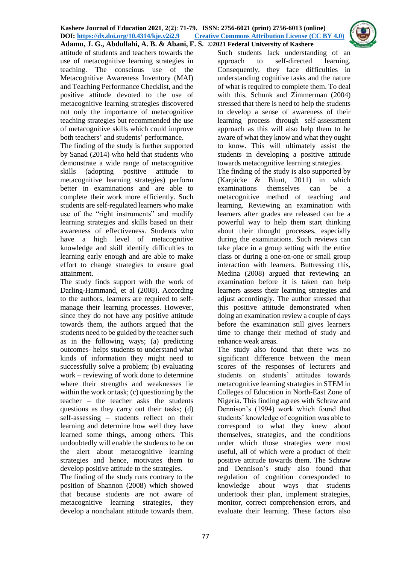attitude of students and teachers towards the use of metacognitive learning strategies in teaching. The conscious use of the Metacognitive Awareness Inventory (MAI) and Teaching Performance Checklist, and the positive attitude devoted to the use of metacognitive learning strategies discovered not only the importance of metacognitive teaching strategies but recommended the use of metacognitive skills which could improve both teachers' and students' performance.

The finding of the study is further supported by Sanad (2014) who held that students who demonstrate a wide range of metacognitive skills (adopting positive attitude to metacognitive learning strategies) perform better in examinations and are able to complete their work more efficiently. Such students are self-regulated learners who make use of the "right instruments" and modify learning strategies and skills based on their awareness of effectiveness. Students who have a high level of metacognitive knowledge and skill identify difficulties to learning early enough and are able to make effort to change strategies to ensure goal attainment.

The study finds support with the work of Darling-Hammand, et al (2008). According to the authors, learners are required to selfmanage their learning processes. However, since they do not have any positive attitude towards them, the authors argued that the students need to be guided by the teacher such as in the following ways; (a) predicting outcomes- helps students to understand what kinds of information they might need to successfully solve a problem; (b) evaluating work – reviewing of work done to determine where their strengths and weaknesses lie within the work or task; (c) questioning by the teacher – the teacher asks the students questions as they carry out their tasks; (d) self-assessing – students reflect on their learning and determine how well they have learned some things, among others. This undoubtedly will enable the students to be on the alert about metacognitive learning strategies and hence, motivates them to develop positive attitude to the strategies.

The finding of the study runs contrary to the position of Shannon (2008) which showed that because students are not aware of metacognitive learning strategies, they develop a nonchalant attitude towards them.

Such students lack understanding of an approach to self-directed learning. Consequently, they face difficulties in understanding cognitive tasks and the nature of what is required to complete them. To deal with this, Schunk and Zimmerman (2004) stressed that there is need to help the students to develop a sense of awareness of their learning process through self-assessment approach as this will also help them to be aware of what they know and what they ought to know. This will ultimately assist the students in developing a positive attitude towards metacognitive learning strategies.

The finding of the study is also supported by (Karpicke & Blunt, 2011) in which examinations themselves can be a metacognitive method of teaching and learning. Reviewing an examination with learners after grades are released can be a powerful way to help them start thinking about their thought processes, especially during the examinations. Such reviews can take place in a group setting with the entire class or during a one-on-one or small group interaction with learners. Buttressing this, Medina (2008) argued that reviewing an examination before it is taken can help learners assess their learning strategies and adjust accordingly. The author stressed that this positive attitude demonstrated when doing an examination review a couple of days before the examination still gives learners time to change their method of study and enhance weak areas.

The study also found that there was no significant difference between the mean scores of the responses of lecturers and students on students' attitudes towards metacognitive learning strategies in STEM in Colleges of Education in North-East Zone of Nigeria. This finding agrees with Schraw and Dennison's (1994) work which found that students' knowledge of cognition was able to correspond to what they knew about themselves, strategies, and the conditions under which those strategies were most useful, all of which were a product of their positive attitude towards them. The Schraw and Dennison's study also found that regulation of cognition corresponded to knowledge about ways that students undertook their plan, implement strategies, monitor, correct comprehension errors, and evaluate their learning. These factors also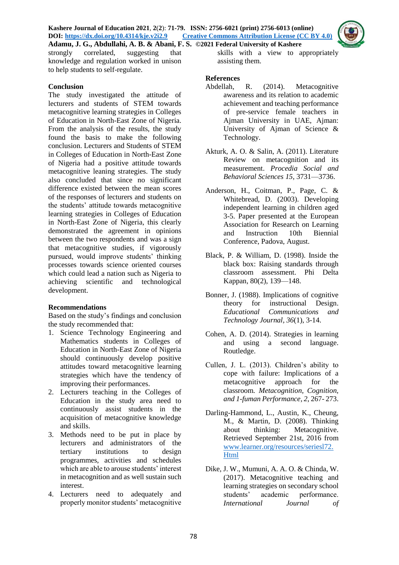

strongly correlated, suggesting that knowledge and regulation worked in unison to help students to self-regulate.

### **Conclusion**

The study investigated the attitude of lecturers and students of STEM towards metacognitive learning strategies in Colleges of Education in North-East Zone of Nigeria. From the analysis of the results, the study found the basis to make the following conclusion. Lecturers and Students of STEM in Colleges of Education in North-East Zone of Nigeria had a positive attitude towards metacognitive leaning strategies. The study also concluded that since no significant difference existed between the mean scores of the responses of lecturers and students on the students' attitude towards metacognitive learning strategies in Colleges of Education in North-East Zone of Nigeria, this clearly demonstrated the agreement in opinions between the two respondents and was a sign that metacognitive studies, if vigorously pursued, would improve students' thinking processes towards science oriented courses which could lead a nation such as Nigeria to achieving scientific and technological development.

### **Recommendations**

Based on the study's findings and conclusion the study recommended that:

- 1. Science Technology Engineering and Mathematics students in Colleges of Education in North-East Zone of Nigeria should continuously develop positive attitudes toward metacognitive learning strategies which have the tendency of improving their performances.
- 2. Lecturers teaching in the Colleges of Education in the study area need to continuously assist students in the acquisition of metacognitive knowledge and skills.
- 3. Methods need to be put in place by lecturers and administrators of the tertiary institutions to design programmes, activities and schedules which are able to arouse students' interest in metacognition and as well sustain such interest.
- 4. Lecturers need to adequately and properly monitor students' metacognitive

skills with a view to appropriately assisting them.

#### **References**

- Abdellah, R. (2014). Metacognitive awareness and its relation to academic achievement and teaching performance of pre-service female teachers in Ajman University in UAE, Ajman: University of Ajman of Science & Technology.
- Akturk, A. O. & Salin, A. (2011). Literature Review on metacognition and its measurement. *Procedia Social and Behavioral Sciences 15*, 3731—3736.
- Anderson, H., Coitman, P., Page, C. & Whitebread, D. (2003). Developing independent learning in children aged 3-5. Paper presented at the European Association for Research on Learning and Instruction 10th Biennial Conference, Padova, August.
- Black, P. & William, D. (1998). Inside the black box: Raising standards through classroom assessment. Phi Delta Kappan, 80(2), 139—148.
- Bonner, J. (1988). Implications of cognitive theory for instructional Design. *Educational Communications and Technology Journal, 36*(1), 3-14.
- Cohen, A. D. (2014). Strategies in learning and using a second language. Routledge.
- Cullen, J. L. (2013). Children's ability to cope with failure: Implications of a metacognitive approach for the classroom. *Metacognition, Cognition, and 1-fuman Performance, 2*, 267- 273.
- Darling-Hammond, L., Austin, K., Cheung, M., & Martin, D. (2008). Thinking about thinking: Metacognitive. Retrieved September 21st, 2016 from [www.learner.org/resources/seriesl72.](http://www.learner.org/resources/seriesl72.Html) [Html](http://www.learner.org/resources/seriesl72.Html)
- Dike, J. W., Mumuni, A. A. O. & Chinda, W. (2017). Metacognitive teaching and learning strategies on secondary school students' academic performance. *International Journal of*